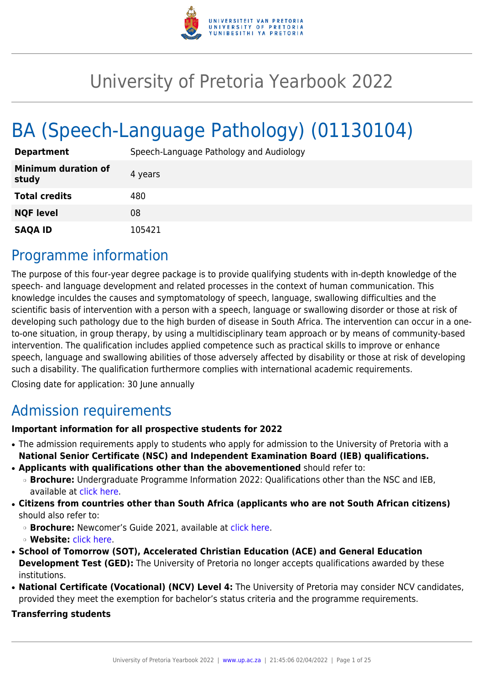

# University of Pretoria Yearbook 2022

# BA (Speech-Language Pathology) (01130104)

| <b>Department</b>                   | Speech-Language Pathology and Audiology |
|-------------------------------------|-----------------------------------------|
| <b>Minimum duration of</b><br>study | 4 years                                 |
| <b>Total credits</b>                | 480                                     |
| <b>NQF level</b>                    | 08                                      |
| <b>SAQA ID</b>                      | 105421                                  |

# Programme information

The purpose of this four-year degree package is to provide qualifying students with in-depth knowledge of the speech- and language development and related processes in the context of human communication. This knowledge inculdes the causes and symptomatology of speech, language, swallowing difficulties and the scientific basis of intervention with a person with a speech, language or swallowing disorder or those at risk of developing such pathology due to the high burden of disease in South Africa. The intervention can occur in a oneto-one situation, in group therapy, by using a multidisciplinary team approach or by means of community-based intervention. The qualification includes applied competence such as practical skills to improve or enhance speech, language and swallowing abilities of those adversely affected by disability or those at risk of developing such a disability. The qualification furthermore complies with international academic requirements.

Closing date for application: 30 June annually

# Admission requirements

# **Important information for all prospective students for 2022**

- The admission requirements apply to students who apply for admission to the University of Pretoria with a **National Senior Certificate (NSC) and Independent Examination Board (IEB) qualifications.**
- **Applicants with qualifications other than the abovementioned** should refer to:
	- ❍ **Brochure:** Undergraduate Programme Information 2022: Qualifications other than the NSC and IEB, available at [click here.](https://www.up.ac.za/students/article/2749263/admission-information)
- **Citizens from countries other than South Africa (applicants who are not South African citizens)** should also refer to:
	- ❍ **Brochure:** Newcomer's Guide 2021, available at [click here.](https://www.up.ac.za/students/article/2749263/admission-information)
	- ❍ **Website:** [click here](http://www.up.ac.za/international-cooperation-division).
- **School of Tomorrow (SOT), Accelerated Christian Education (ACE) and General Education Development Test (GED):** The University of Pretoria no longer accepts qualifications awarded by these institutions.
- **National Certificate (Vocational) (NCV) Level 4:** The University of Pretoria may consider NCV candidates, provided they meet the exemption for bachelor's status criteria and the programme requirements.

## **Transferring students**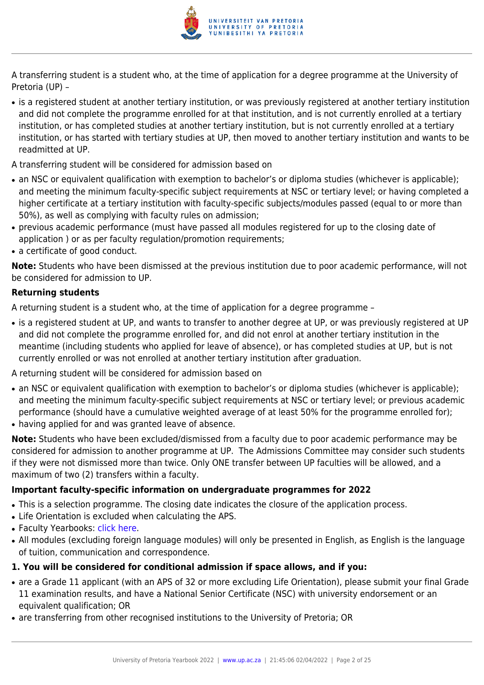

A transferring student is a student who, at the time of application for a degree programme at the University of Pretoria (UP) –

- is a registered student at another tertiary institution, or was previously registered at another tertiary institution and did not complete the programme enrolled for at that institution, and is not currently enrolled at a tertiary institution, or has completed studies at another tertiary institution, but is not currently enrolled at a tertiary institution, or has started with tertiary studies at UP, then moved to another tertiary institution and wants to be readmitted at UP.
- A transferring student will be considered for admission based on
- an NSC or equivalent qualification with exemption to bachelor's or diploma studies (whichever is applicable); and meeting the minimum faculty-specific subject requirements at NSC or tertiary level; or having completed a higher certificate at a tertiary institution with faculty-specific subjects/modules passed (equal to or more than 50%), as well as complying with faculty rules on admission;
- previous academic performance (must have passed all modules registered for up to the closing date of application ) or as per faculty regulation/promotion requirements;
- a certificate of good conduct.

**Note:** Students who have been dismissed at the previous institution due to poor academic performance, will not be considered for admission to UP.

# **Returning students**

A returning student is a student who, at the time of application for a degree programme –

- is a registered student at UP, and wants to transfer to another degree at UP, or was previously registered at UP and did not complete the programme enrolled for, and did not enrol at another tertiary institution in the meantime (including students who applied for leave of absence), or has completed studies at UP, but is not currently enrolled or was not enrolled at another tertiary institution after graduation.
- A returning student will be considered for admission based on
- an NSC or equivalent qualification with exemption to bachelor's or diploma studies (whichever is applicable); and meeting the minimum faculty-specific subject requirements at NSC or tertiary level; or previous academic performance (should have a cumulative weighted average of at least 50% for the programme enrolled for);
- having applied for and was granted leave of absence.

**Note:** Students who have been excluded/dismissed from a faculty due to poor academic performance may be considered for admission to another programme at UP. The Admissions Committee may consider such students if they were not dismissed more than twice. Only ONE transfer between UP faculties will be allowed, and a maximum of two (2) transfers within a faculty.

# **Important faculty-specific information on undergraduate programmes for 2022**

- This is a selection programme. The closing date indicates the closure of the application process.
- Life Orientation is excluded when calculating the APS.
- Faculty Yearbooks: [click here](http://www.up.ac.za/yearbooks/home).
- All modules (excluding foreign language modules) will only be presented in English, as English is the language of tuition, communication and correspondence.

# **1. You will be considered for conditional admission if space allows, and if you:**

- are a Grade 11 applicant (with an APS of 32 or more excluding Life Orientation), please submit your final Grade 11 examination results, and have a National Senior Certificate (NSC) with university endorsement or an equivalent qualification; OR
- are transferring from other recognised institutions to the University of Pretoria; OR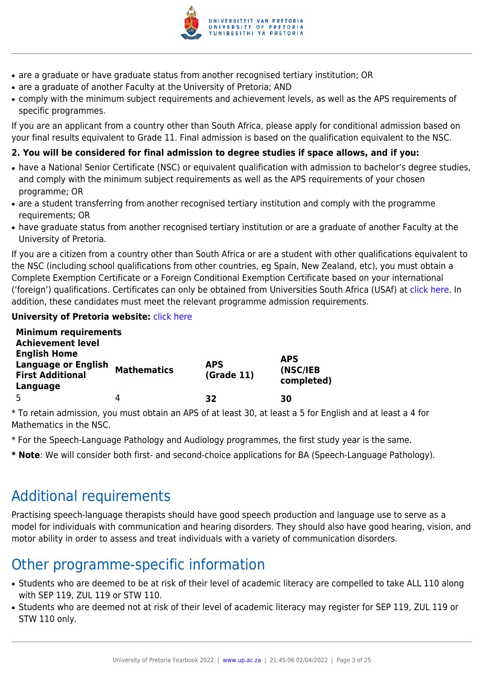

- are a graduate or have graduate status from another recognised tertiary institution; OR
- are a graduate of another Faculty at the University of Pretoria; AND
- comply with the minimum subject requirements and achievement levels, as well as the APS requirements of specific programmes.

If you are an applicant from a country other than South Africa, please apply for conditional admission based on your final results equivalent to Grade 11. Final admission is based on the qualification equivalent to the NSC.

# **2. You will be considered for final admission to degree studies if space allows, and if you:**

- have a National Senior Certificate (NSC) or equivalent qualification with admission to bachelor's degree studies, and comply with the minimum subject requirements as well as the APS requirements of your chosen programme; OR
- are a student transferring from another recognised tertiary institution and comply with the programme requirements; OR
- have graduate status from another recognised tertiary institution or are a graduate of another Faculty at the University of Pretoria.

If you are a citizen from a country other than South Africa or are a student with other qualifications equivalent to the NSC (including school qualifications from other countries, eg Spain, New Zealand, etc), you must obtain a Complete Exemption Certificate or a Foreign Conditional Exemption Certificate based on your international ('foreign') qualifications. Certificates can only be obtained from Universities South Africa (USAf) at [click here](http://www.mb.usaf.ac.za). In addition, these candidates must meet the relevant programme admission requirements.

# **University of Pretoria website: [click here](http://www.up.ac.za/faculty-of-humanities)**

| <b>Minimum requirements</b>                           |                    |                          |                        |
|-------------------------------------------------------|--------------------|--------------------------|------------------------|
| <b>Achievement level</b>                              |                    |                          |                        |
| <b>English Home</b>                                   |                    |                          | <b>APS</b>             |
| <b>Language or English</b><br><b>First Additional</b> | <b>Mathematics</b> | <b>APS</b><br>(Grade 11) | (NSC/IEB<br>completed) |
| Language                                              |                    |                          |                        |
|                                                       | 4                  | 32                       | 30                     |

\* To retain admission, you must obtain an APS of at least 30, at least a 5 for English and at least a 4 for Mathematics in the NSC.

- \* For the Speech-Language Pathology and Audiology programmes, the first study year is the same.
- **\* Note**: We will consider both first- and second-choice applications for BA (Speech-Language Pathology).

# Additional requirements

Practising speech-language therapists should have good speech production and language use to serve as a model for individuals with communication and hearing disorders. They should also have good hearing, vision, and motor ability in order to assess and treat individuals with a variety of communication disorders.

# Other programme-specific information

- Students who are deemed to be at risk of their level of academic literacy are compelled to take ALL 110 along with SEP 119, ZUL 119 or STW 110.
- Students who are deemed not at risk of their level of academic literacy may register for SEP 119, ZUL 119 or STW 110 only.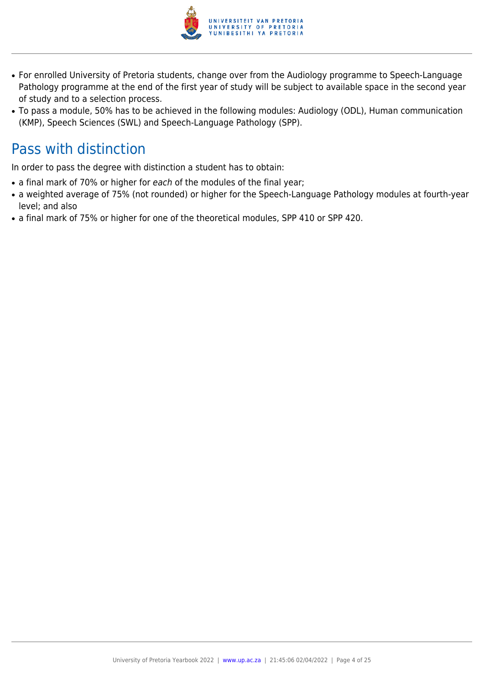

- For enrolled University of Pretoria students, change over from the Audiology programme to Speech-Language Pathology programme at the end of the first year of study will be subject to available space in the second year of study and to a selection process.
- To pass a module, 50% has to be achieved in the following modules: Audiology (ODL), Human communication (KMP), Speech Sciences (SWL) and Speech-Language Pathology (SPP).

# Pass with distinction

In order to pass the degree with distinction a student has to obtain:

- a final mark of 70% or higher for each of the modules of the final year;
- a weighted average of 75% (not rounded) or higher for the Speech-Language Pathology modules at fourth-year level; and also
- a final mark of 75% or higher for one of the theoretical modules, SPP 410 or SPP 420.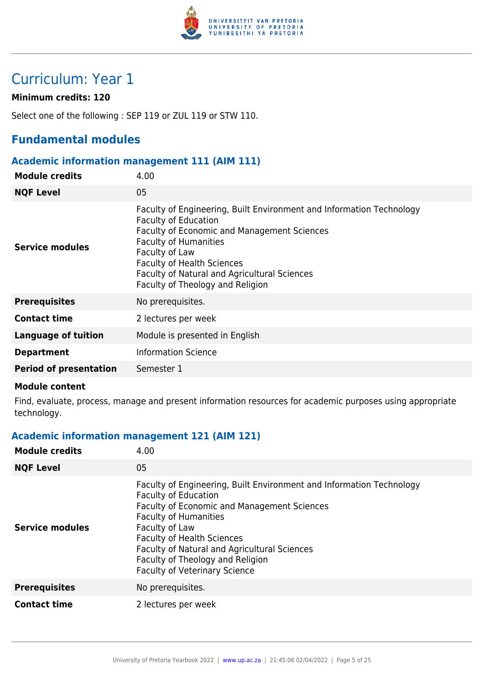

# Curriculum: Year 1

# **Minimum credits: 120**

Select one of the following : SEP 119 or ZUL 119 or STW 110.

# **Fundamental modules**

## **Academic information management 111 (AIM 111)**

| <b>Module credits</b>         | 4.00                                                                                                                                                                                                                                                                                                                          |
|-------------------------------|-------------------------------------------------------------------------------------------------------------------------------------------------------------------------------------------------------------------------------------------------------------------------------------------------------------------------------|
| <b>NQF Level</b>              | 05                                                                                                                                                                                                                                                                                                                            |
| Service modules               | Faculty of Engineering, Built Environment and Information Technology<br><b>Faculty of Education</b><br>Faculty of Economic and Management Sciences<br><b>Faculty of Humanities</b><br>Faculty of Law<br><b>Faculty of Health Sciences</b><br>Faculty of Natural and Agricultural Sciences<br>Faculty of Theology and Religion |
| <b>Prerequisites</b>          | No prerequisites.                                                                                                                                                                                                                                                                                                             |
| <b>Contact time</b>           | 2 lectures per week                                                                                                                                                                                                                                                                                                           |
| <b>Language of tuition</b>    | Module is presented in English                                                                                                                                                                                                                                                                                                |
| <b>Department</b>             | <b>Information Science</b>                                                                                                                                                                                                                                                                                                    |
| <b>Period of presentation</b> | Semester 1                                                                                                                                                                                                                                                                                                                    |

#### **Module content**

Find, evaluate, process, manage and present information resources for academic purposes using appropriate technology.

# **Academic information management 121 (AIM 121)**

| <b>Module credits</b>  | 4.00                                                                                                                                                                                                                                                                                                                                                                  |
|------------------------|-----------------------------------------------------------------------------------------------------------------------------------------------------------------------------------------------------------------------------------------------------------------------------------------------------------------------------------------------------------------------|
| <b>NQF Level</b>       | 05                                                                                                                                                                                                                                                                                                                                                                    |
| <b>Service modules</b> | Faculty of Engineering, Built Environment and Information Technology<br><b>Faculty of Education</b><br>Faculty of Economic and Management Sciences<br><b>Faculty of Humanities</b><br>Faculty of Law<br><b>Faculty of Health Sciences</b><br>Faculty of Natural and Agricultural Sciences<br>Faculty of Theology and Religion<br><b>Faculty of Veterinary Science</b> |
| <b>Prerequisites</b>   | No prerequisites.                                                                                                                                                                                                                                                                                                                                                     |
| <b>Contact time</b>    | 2 lectures per week                                                                                                                                                                                                                                                                                                                                                   |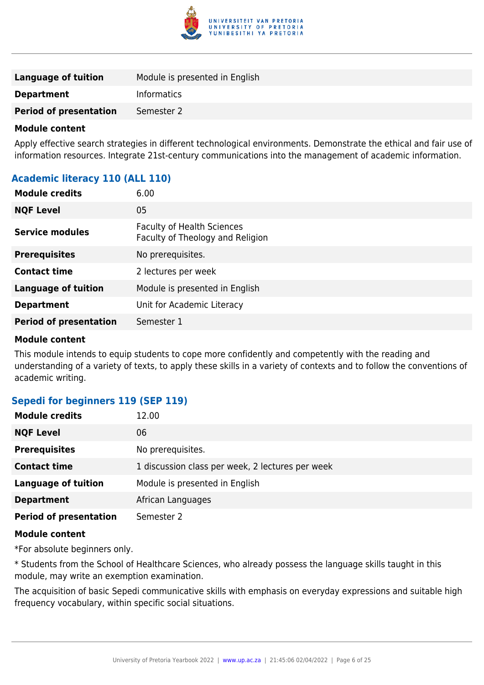

| <b>Language of tuition</b>    | Module is presented in English |
|-------------------------------|--------------------------------|
| <b>Department</b>             | <b>Informatics</b>             |
| <b>Period of presentation</b> | Semester 2                     |

Apply effective search strategies in different technological environments. Demonstrate the ethical and fair use of information resources. Integrate 21st-century communications into the management of academic information.

# **Academic literacy 110 (ALL 110)**

| <b>Module credits</b>         | 6.00                                                                  |
|-------------------------------|-----------------------------------------------------------------------|
| <b>NQF Level</b>              | 05                                                                    |
| <b>Service modules</b>        | <b>Faculty of Health Sciences</b><br>Faculty of Theology and Religion |
| <b>Prerequisites</b>          | No prerequisites.                                                     |
| <b>Contact time</b>           | 2 lectures per week                                                   |
| <b>Language of tuition</b>    | Module is presented in English                                        |
| <b>Department</b>             | Unit for Academic Literacy                                            |
| <b>Period of presentation</b> | Semester 1                                                            |

#### **Module content**

This module intends to equip students to cope more confidently and competently with the reading and understanding of a variety of texts, to apply these skills in a variety of contexts and to follow the conventions of academic writing.

# **Sepedi for beginners 119 (SEP 119)**

| <b>Module credits</b>         | 12.00                                            |
|-------------------------------|--------------------------------------------------|
| <b>NQF Level</b>              | 06                                               |
| <b>Prerequisites</b>          | No prerequisites.                                |
| <b>Contact time</b>           | 1 discussion class per week, 2 lectures per week |
| <b>Language of tuition</b>    | Module is presented in English                   |
| <b>Department</b>             | African Languages                                |
| <b>Period of presentation</b> | Semester 2                                       |

## **Module content**

\*For absolute beginners only.

\* Students from the School of Healthcare Sciences, who already possess the language skills taught in this module, may write an exemption examination.

The acquisition of basic Sepedi communicative skills with emphasis on everyday expressions and suitable high frequency vocabulary, within specific social situations.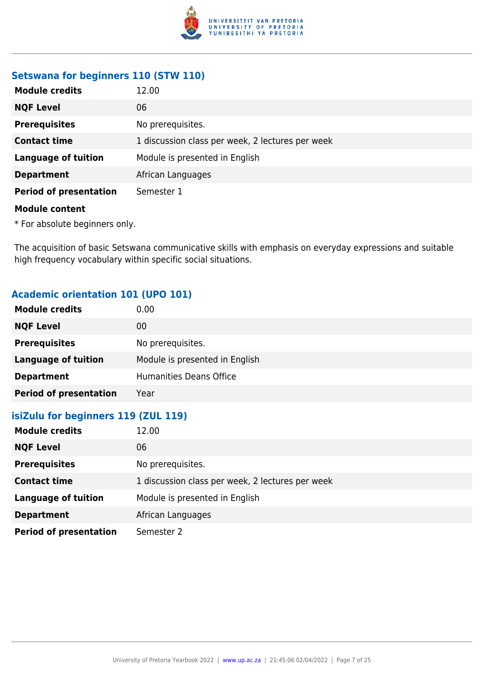

# **Setswana for beginners 110 (STW 110)**

| <b>Module credits</b>         | 12.00                                            |
|-------------------------------|--------------------------------------------------|
| <b>NQF Level</b>              | 06                                               |
| <b>Prerequisites</b>          | No prerequisites.                                |
| <b>Contact time</b>           | 1 discussion class per week, 2 lectures per week |
| <b>Language of tuition</b>    | Module is presented in English                   |
| <b>Department</b>             | African Languages                                |
| <b>Period of presentation</b> | Semester 1                                       |
| <b>Module content</b>         |                                                  |

\* For absolute beginners only.

The acquisition of basic Setswana communicative skills with emphasis on everyday expressions and suitable high frequency vocabulary within specific social situations.

# **Academic orientation 101 (UPO 101)**

| <b>Module credits</b>               | 0.00                                             |
|-------------------------------------|--------------------------------------------------|
| <b>NQF Level</b>                    | $00\,$                                           |
| <b>Prerequisites</b>                | No prerequisites.                                |
| <b>Language of tuition</b>          | Module is presented in English                   |
| <b>Department</b>                   | <b>Humanities Deans Office</b>                   |
| <b>Period of presentation</b>       | Year                                             |
| isiZulu for beginners 119 (ZUL 119) |                                                  |
| <b>Module credits</b>               | 12.00                                            |
| <b>NQF Level</b>                    | 06                                               |
| <b>Prerequisites</b>                | No prerequisites.                                |
| <b>Contact time</b>                 | 1 discussion class per week, 2 lectures per week |
| <b>Language of tuition</b>          | Module is presented in English                   |
| <b>Department</b>                   | African Languages                                |
| <b>Period of presentation</b>       | Semester 2                                       |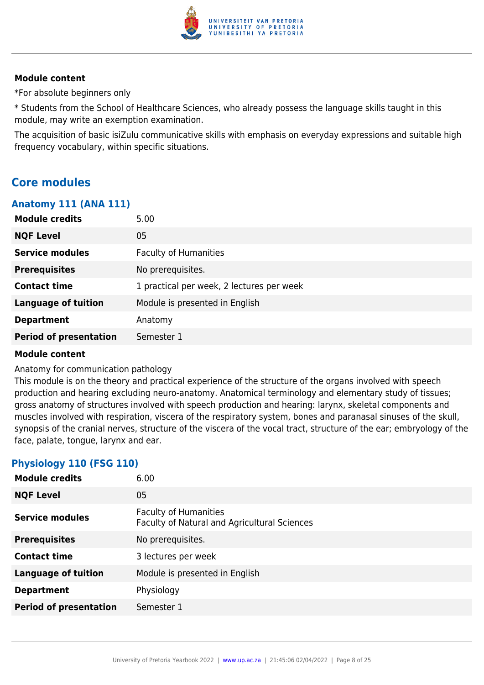

\*For absolute beginners only

\* Students from the School of Healthcare Sciences, who already possess the language skills taught in this module, may write an exemption examination.

The acquisition of basic isiZulu communicative skills with emphasis on everyday expressions and suitable high frequency vocabulary, within specific situations.

# **Core modules**

## **Anatomy 111 (ANA 111)**

| <b>Module credits</b><br>5.00 |                                           |
|-------------------------------|-------------------------------------------|
| <b>NQF Level</b><br>05        |                                           |
| <b>Service modules</b>        | <b>Faculty of Humanities</b>              |
| <b>Prerequisites</b>          | No prerequisites.                         |
| <b>Contact time</b>           | 1 practical per week, 2 lectures per week |
| <b>Language of tuition</b>    | Module is presented in English            |
| <b>Department</b>             | Anatomy                                   |
| <b>Period of presentation</b> | Semester 1                                |

## **Module content**

Anatomy for communication pathology

This module is on the theory and practical experience of the structure of the organs involved with speech production and hearing excluding neuro-anatomy. Anatomical terminology and elementary study of tissues; gross anatomy of structures involved with speech production and hearing: larynx, skeletal components and muscles involved with respiration, viscera of the respiratory system, bones and paranasal sinuses of the skull, synopsis of the cranial nerves, structure of the viscera of the vocal tract, structure of the ear; embryology of the face, palate, tongue, larynx and ear.

# **Physiology 110 (FSG 110)**

| <b>Module credits</b>         | 6.00                                                                         |
|-------------------------------|------------------------------------------------------------------------------|
| <b>NQF Level</b>              | 05                                                                           |
| <b>Service modules</b>        | <b>Faculty of Humanities</b><br>Faculty of Natural and Agricultural Sciences |
| <b>Prerequisites</b>          | No prerequisites.                                                            |
| <b>Contact time</b>           | 3 lectures per week                                                          |
| <b>Language of tuition</b>    | Module is presented in English                                               |
| <b>Department</b>             | Physiology                                                                   |
| <b>Period of presentation</b> | Semester 1                                                                   |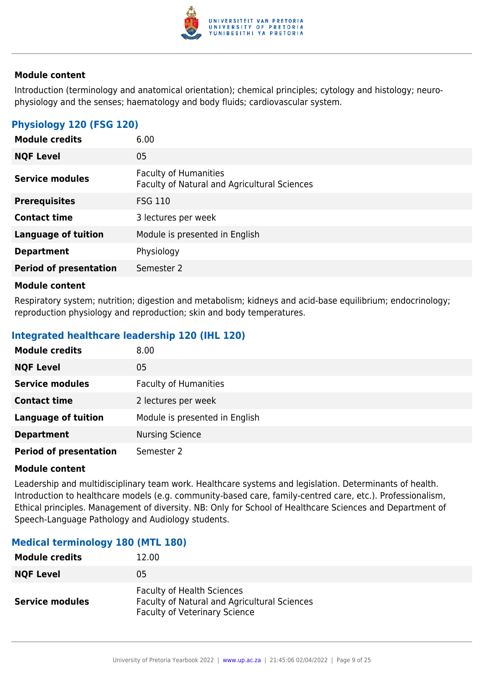

Introduction (terminology and anatomical orientation); chemical principles; cytology and histology; neurophysiology and the senses; haematology and body fluids; cardiovascular system.

# **Physiology 120 (FSG 120)**

| <b>Module credits</b>         | 6.00                                                                         |
|-------------------------------|------------------------------------------------------------------------------|
| <b>NQF Level</b>              | 05                                                                           |
| <b>Service modules</b>        | <b>Faculty of Humanities</b><br>Faculty of Natural and Agricultural Sciences |
| <b>Prerequisites</b>          | <b>FSG 110</b>                                                               |
| <b>Contact time</b>           | 3 lectures per week                                                          |
| <b>Language of tuition</b>    | Module is presented in English                                               |
| <b>Department</b>             | Physiology                                                                   |
| <b>Period of presentation</b> | Semester 2                                                                   |
|                               |                                                                              |

#### **Module content**

Respiratory system; nutrition; digestion and metabolism; kidneys and acid-base equilibrium; endocrinology; reproduction physiology and reproduction; skin and body temperatures.

# **Integrated healthcare leadership 120 (IHL 120)**

| <b>Module credits</b>         | 8.00                           |
|-------------------------------|--------------------------------|
| <b>NQF Level</b>              | 05                             |
| <b>Service modules</b>        | <b>Faculty of Humanities</b>   |
| <b>Contact time</b>           | 2 lectures per week            |
| <b>Language of tuition</b>    | Module is presented in English |
| <b>Department</b>             | <b>Nursing Science</b>         |
| <b>Period of presentation</b> | Semester 2                     |

#### **Module content**

Leadership and multidisciplinary team work. Healthcare systems and legislation. Determinants of health. Introduction to healthcare models (e.g. community-based care, family-centred care, etc.). Professionalism, Ethical principles. Management of diversity. NB: Only for School of Healthcare Sciences and Department of Speech-Language Pathology and Audiology students.

## **Medical terminology 180 (MTL 180)**

| <b>Module credits</b>  | 12.00                                                                                                                     |
|------------------------|---------------------------------------------------------------------------------------------------------------------------|
| <b>NQF Level</b>       | 05                                                                                                                        |
| <b>Service modules</b> | <b>Faculty of Health Sciences</b><br>Faculty of Natural and Agricultural Sciences<br><b>Faculty of Veterinary Science</b> |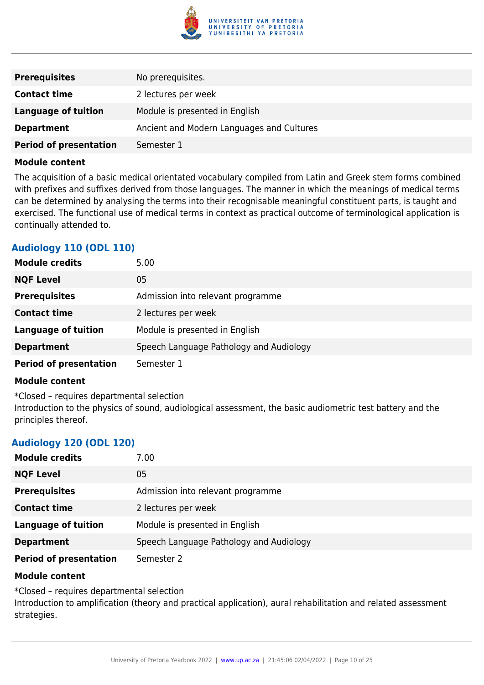

| <b>Prerequisites</b>          | No prerequisites.                         |
|-------------------------------|-------------------------------------------|
| <b>Contact time</b>           | 2 lectures per week                       |
| Language of tuition           | Module is presented in English            |
| <b>Department</b>             | Ancient and Modern Languages and Cultures |
| <b>Period of presentation</b> | Semester 1                                |

The acquisition of a basic medical orientated vocabulary compiled from Latin and Greek stem forms combined with prefixes and suffixes derived from those languages. The manner in which the meanings of medical terms can be determined by analysing the terms into their recognisable meaningful constituent parts, is taught and exercised. The functional use of medical terms in context as practical outcome of terminological application is continually attended to.

# **Audiology 110 (ODL 110)**

| <b>Module credits</b>         | 5.00                                    |
|-------------------------------|-----------------------------------------|
| <b>NQF Level</b>              | 05                                      |
| <b>Prerequisites</b>          | Admission into relevant programme       |
| <b>Contact time</b>           | 2 lectures per week                     |
| <b>Language of tuition</b>    | Module is presented in English          |
| <b>Department</b>             | Speech Language Pathology and Audiology |
| <b>Period of presentation</b> | Semester 1                              |

#### **Module content**

\*Closed – requires departmental selection Introduction to the physics of sound, audiological assessment, the basic audiometric test battery and the principles thereof.

# **Audiology 120 (ODL 120)**

| <b>Module credits</b>         | 7.00                                    |
|-------------------------------|-----------------------------------------|
| <b>NQF Level</b>              | 05                                      |
| <b>Prerequisites</b>          | Admission into relevant programme       |
| <b>Contact time</b>           | 2 lectures per week                     |
| <b>Language of tuition</b>    | Module is presented in English          |
| <b>Department</b>             | Speech Language Pathology and Audiology |
| <b>Period of presentation</b> | Semester 2                              |

#### **Module content**

\*Closed – requires departmental selection

Introduction to amplification (theory and practical application), aural rehabilitation and related assessment strategies.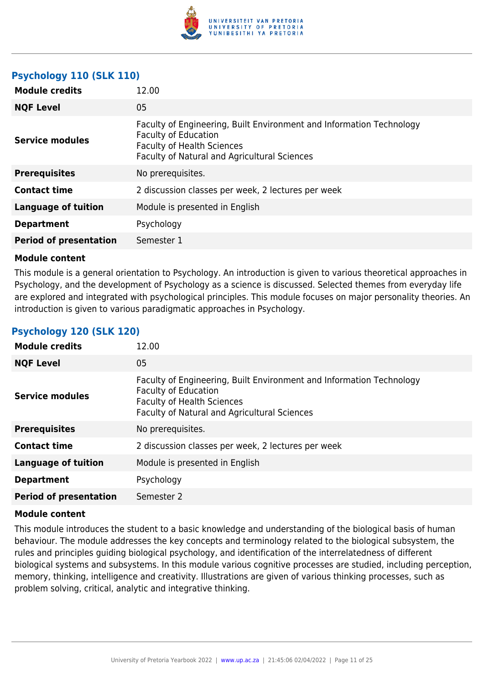

# **Psychology 110 (SLK 110)**

| <b>Module credits</b>         | 12.00                                                                                                                                                                                    |
|-------------------------------|------------------------------------------------------------------------------------------------------------------------------------------------------------------------------------------|
| <b>NQF Level</b>              | 05                                                                                                                                                                                       |
| <b>Service modules</b>        | Faculty of Engineering, Built Environment and Information Technology<br><b>Faculty of Education</b><br><b>Faculty of Health Sciences</b><br>Faculty of Natural and Agricultural Sciences |
| <b>Prerequisites</b>          | No prerequisites.                                                                                                                                                                        |
| <b>Contact time</b>           | 2 discussion classes per week, 2 lectures per week                                                                                                                                       |
| <b>Language of tuition</b>    | Module is presented in English                                                                                                                                                           |
| <b>Department</b>             | Psychology                                                                                                                                                                               |
| <b>Period of presentation</b> | Semester 1                                                                                                                                                                               |

#### **Module content**

This module is a general orientation to Psychology. An introduction is given to various theoretical approaches in Psychology, and the development of Psychology as a science is discussed. Selected themes from everyday life are explored and integrated with psychological principles. This module focuses on major personality theories. An introduction is given to various paradigmatic approaches in Psychology.

| <b>Module credits</b>         | 12.00                                                                                                                                                                                    |
|-------------------------------|------------------------------------------------------------------------------------------------------------------------------------------------------------------------------------------|
| <b>NQF Level</b>              | 05                                                                                                                                                                                       |
| <b>Service modules</b>        | Faculty of Engineering, Built Environment and Information Technology<br><b>Faculty of Education</b><br><b>Faculty of Health Sciences</b><br>Faculty of Natural and Agricultural Sciences |
| <b>Prerequisites</b>          | No prerequisites.                                                                                                                                                                        |
| <b>Contact time</b>           | 2 discussion classes per week, 2 lectures per week                                                                                                                                       |
| <b>Language of tuition</b>    | Module is presented in English                                                                                                                                                           |
| <b>Department</b>             | Psychology                                                                                                                                                                               |
| <b>Period of presentation</b> | Semester 2                                                                                                                                                                               |

# **Psychology 120 (SLK 120)**

#### **Module content**

This module introduces the student to a basic knowledge and understanding of the biological basis of human behaviour. The module addresses the key concepts and terminology related to the biological subsystem, the rules and principles guiding biological psychology, and identification of the interrelatedness of different biological systems and subsystems. In this module various cognitive processes are studied, including perception, memory, thinking, intelligence and creativity. Illustrations are given of various thinking processes, such as problem solving, critical, analytic and integrative thinking.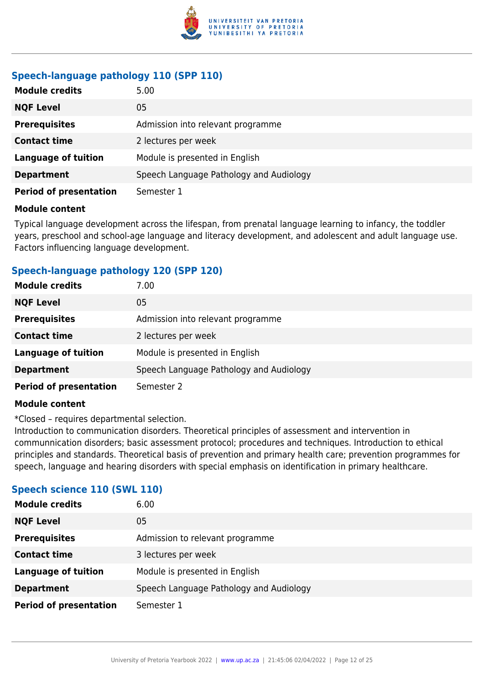

# **Speech-language pathology 110 (SPP 110)**

| <b>Module credits</b>         | 5.00                                    |
|-------------------------------|-----------------------------------------|
| <b>NQF Level</b>              | 05                                      |
| <b>Prerequisites</b>          | Admission into relevant programme       |
| <b>Contact time</b>           | 2 lectures per week                     |
| <b>Language of tuition</b>    | Module is presented in English          |
| <b>Department</b>             | Speech Language Pathology and Audiology |
| <b>Period of presentation</b> | Semester 1                              |

#### **Module content**

Typical language development across the lifespan, from prenatal language learning to infancy, the toddler years, preschool and school-age language and literacy development, and adolescent and adult language use. Factors influencing language development.

# **Speech-language pathology 120 (SPP 120)**

| <b>Module credits</b>         | 7.00                                    |
|-------------------------------|-----------------------------------------|
| <b>NQF Level</b>              | 05                                      |
| <b>Prerequisites</b>          | Admission into relevant programme       |
| <b>Contact time</b>           | 2 lectures per week                     |
| <b>Language of tuition</b>    | Module is presented in English          |
| <b>Department</b>             | Speech Language Pathology and Audiology |
| <b>Period of presentation</b> | Semester 2                              |

## **Module content**

\*Closed – requires departmental selection.

Introduction to communication disorders. Theoretical principles of assessment and intervention in communnication disorders; basic assessment protocol; procedures and techniques. Introduction to ethical principles and standards. Theoretical basis of prevention and primary health care; prevention programmes for speech, language and hearing disorders with special emphasis on identification in primary healthcare.

# **Speech science 110 (SWL 110)**

| <b>Module credits</b>         | 6.00                                    |
|-------------------------------|-----------------------------------------|
| <b>NQF Level</b>              | 05                                      |
| <b>Prerequisites</b>          | Admission to relevant programme         |
| <b>Contact time</b>           | 3 lectures per week                     |
| <b>Language of tuition</b>    | Module is presented in English          |
| <b>Department</b>             | Speech Language Pathology and Audiology |
| <b>Period of presentation</b> | Semester 1                              |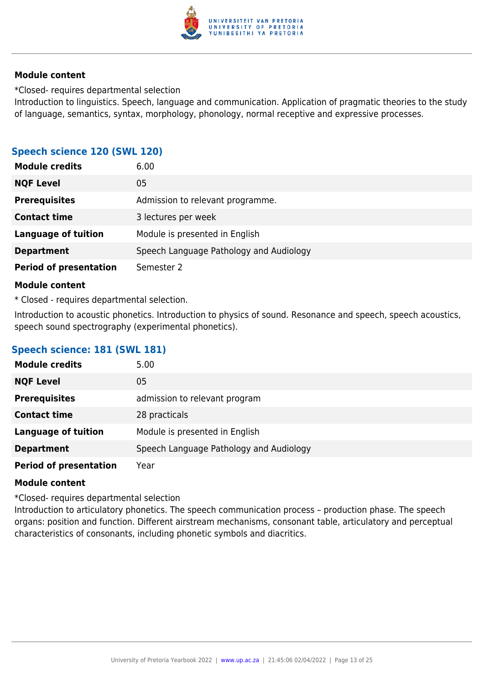

\*Closed- requires departmental seIection

Introduction to linguistics. Speech, language and communication. Application of pragmatic theories to the study of language, semantics, syntax, morphology, phonology, normal receptive and expressive processes.

# **Speech science 120 (SWL 120)**

| <b>Module credits</b>         | 6.00                                    |
|-------------------------------|-----------------------------------------|
| <b>NQF Level</b>              | 05                                      |
| <b>Prerequisites</b>          | Admission to relevant programme.        |
| <b>Contact time</b>           | 3 lectures per week                     |
| <b>Language of tuition</b>    | Module is presented in English          |
| <b>Department</b>             | Speech Language Pathology and Audiology |
| <b>Period of presentation</b> | Semester 2                              |

#### **Module content**

\* Closed - requires departmental selection.

Introduction to acoustic phonetics. Introduction to physics of sound. Resonance and speech, speech acoustics, speech sound spectrography (experimental phonetics).

# **Speech science: 181 (SWL 181)**

| <b>Module credits</b>         | 5.00                                    |
|-------------------------------|-----------------------------------------|
| <b>NQF Level</b>              | 05                                      |
| <b>Prerequisites</b>          | admission to relevant program           |
| <b>Contact time</b>           | 28 practicals                           |
| <b>Language of tuition</b>    | Module is presented in English          |
| <b>Department</b>             | Speech Language Pathology and Audiology |
| <b>Period of presentation</b> | Year                                    |

## **Module content**

\*Closed- requires departmental selection

Introduction to articulatory phonetics. The speech communication process – production phase. The speech organs: position and function. Different airstream mechanisms, consonant table, articulatory and perceptual characteristics of consonants, including phonetic symbols and diacritics.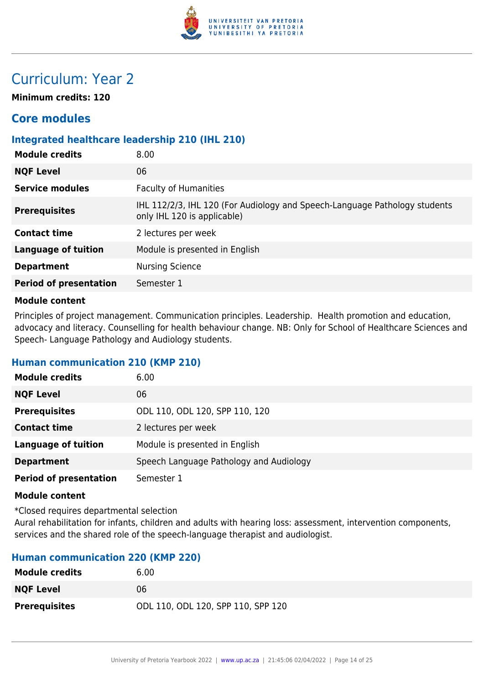

# Curriculum: Year 2

**Minimum credits: 120**

# **Core modules**

# **Integrated healthcare leadership 210 (IHL 210)**

| <b>Module credits</b>         | 8.00                                                                                                      |
|-------------------------------|-----------------------------------------------------------------------------------------------------------|
| <b>NQF Level</b>              | 06                                                                                                        |
| <b>Service modules</b>        | <b>Faculty of Humanities</b>                                                                              |
| <b>Prerequisites</b>          | IHL 112/2/3, IHL 120 (For Audiology and Speech-Language Pathology students<br>only IHL 120 is applicable) |
| <b>Contact time</b>           | 2 lectures per week                                                                                       |
| <b>Language of tuition</b>    | Module is presented in English                                                                            |
| <b>Department</b>             | <b>Nursing Science</b>                                                                                    |
| <b>Period of presentation</b> | Semester 1                                                                                                |

#### **Module content**

Principles of project management. Communication principles. Leadership. Health promotion and education, advocacy and literacy. Counselling for health behaviour change. NB: Only for School of Healthcare Sciences and Speech- Language Pathology and Audiology students.

## **Human communication 210 (KMP 210)**

| <b>Module credits</b>         | 6.00                                    |
|-------------------------------|-----------------------------------------|
| <b>NQF Level</b>              | 06                                      |
| <b>Prerequisites</b>          | ODL 110, ODL 120, SPP 110, 120          |
| <b>Contact time</b>           | 2 lectures per week                     |
| <b>Language of tuition</b>    | Module is presented in English          |
| <b>Department</b>             | Speech Language Pathology and Audiology |
| <b>Period of presentation</b> | Semester 1                              |

#### **Module content**

\*Closed requires departmental selection

Aural rehabilitation for infants, children and adults with hearing loss: assessment, intervention components, services and the shared role of the speech-language therapist and audiologist.

# **Human communication 220 (KMP 220)**

| <b>Module credits</b> | 6.00                               |
|-----------------------|------------------------------------|
| <b>NQF Level</b>      | 06                                 |
| <b>Prerequisites</b>  | ODL 110, ODL 120, SPP 110, SPP 120 |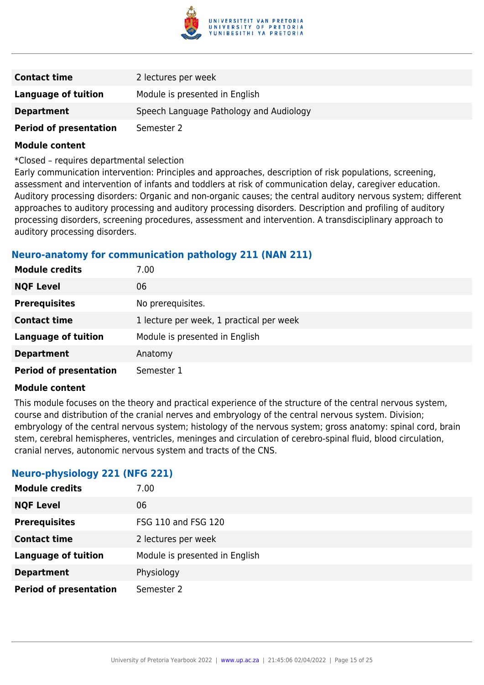

| <b>Contact time</b>           | 2 lectures per week                     |
|-------------------------------|-----------------------------------------|
| Language of tuition           | Module is presented in English          |
| <b>Department</b>             | Speech Language Pathology and Audiology |
| <b>Period of presentation</b> | Semester 2                              |

\*Closed – requires departmental selection

Early communication intervention: Principles and approaches, description of risk populations, screening, assessment and intervention of infants and toddlers at risk of communication delay, caregiver education. Auditory processing disorders: Organic and non-organic causes; the central auditory nervous system; different approaches to auditory processing and auditory processing disorders. Description and profiling of auditory processing disorders, screening procedures, assessment and intervention. A transdisciplinary approach to auditory processing disorders.

# **Neuro-anatomy for communication pathology 211 (NAN 211)**

| <b>Module credits</b>         | 7.00                                     |
|-------------------------------|------------------------------------------|
| <b>NQF Level</b>              | 06                                       |
| <b>Prerequisites</b>          | No prerequisites.                        |
| <b>Contact time</b>           | 1 lecture per week, 1 practical per week |
| <b>Language of tuition</b>    | Module is presented in English           |
| <b>Department</b>             | Anatomy                                  |
| <b>Period of presentation</b> | Semester 1                               |

#### **Module content**

This module focuses on the theory and practical experience of the structure of the central nervous system, course and distribution of the cranial nerves and embryology of the central nervous system. Division; embryology of the central nervous system; histology of the nervous system; gross anatomy: spinal cord, brain stem, cerebral hemispheres, ventricles, meninges and circulation of cerebro-spinal fluid, blood circulation, cranial nerves, autonomic nervous system and tracts of the CNS.

## **Neuro-physiology 221 (NFG 221)**

| <b>Module credits</b>         | 7.00                           |
|-------------------------------|--------------------------------|
| <b>NQF Level</b>              | 06                             |
| <b>Prerequisites</b>          | <b>FSG 110 and FSG 120</b>     |
| <b>Contact time</b>           | 2 lectures per week            |
| <b>Language of tuition</b>    | Module is presented in English |
| <b>Department</b>             | Physiology                     |
| <b>Period of presentation</b> | Semester 2                     |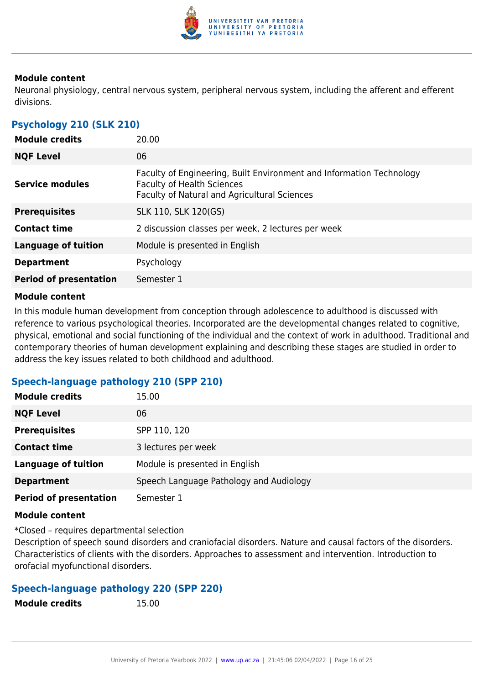

Neuronal physiology, central nervous system, peripheral nervous system, including the afferent and efferent divisions.

# **Psychology 210 (SLK 210)**

| <b>Module credits</b>         | 20.00                                                                                                                                                     |
|-------------------------------|-----------------------------------------------------------------------------------------------------------------------------------------------------------|
| <b>NQF Level</b>              | 06                                                                                                                                                        |
| Service modules               | Faculty of Engineering, Built Environment and Information Technology<br><b>Faculty of Health Sciences</b><br>Faculty of Natural and Agricultural Sciences |
| <b>Prerequisites</b>          | SLK 110, SLK 120(GS)                                                                                                                                      |
| <b>Contact time</b>           | 2 discussion classes per week, 2 lectures per week                                                                                                        |
| <b>Language of tuition</b>    | Module is presented in English                                                                                                                            |
| <b>Department</b>             | Psychology                                                                                                                                                |
| <b>Period of presentation</b> | Semester 1                                                                                                                                                |
|                               |                                                                                                                                                           |

#### **Module content**

In this module human development from conception through adolescence to adulthood is discussed with reference to various psychological theories. Incorporated are the developmental changes related to cognitive, physical, emotional and social functioning of the individual and the context of work in adulthood. Traditional and contemporary theories of human development explaining and describing these stages are studied in order to address the key issues related to both childhood and adulthood.

# **Speech-language pathology 210 (SPP 210)**

| <b>Module credits</b>         | 15.00                                   |
|-------------------------------|-----------------------------------------|
| <b>NQF Level</b>              | 06                                      |
| <b>Prerequisites</b>          | SPP 110, 120                            |
| <b>Contact time</b>           | 3 lectures per week                     |
| <b>Language of tuition</b>    | Module is presented in English          |
| <b>Department</b>             | Speech Language Pathology and Audiology |
| <b>Period of presentation</b> | Semester 1                              |

## **Module content**

\*Closed – requires departmental selection

Description of speech sound disorders and craniofacial disorders. Nature and causal factors of the disorders. Characteristics of clients with the disorders. Approaches to assessment and intervention. Introduction to orofacial myofunctional disorders.

# **Speech-language pathology 220 (SPP 220)**

**Module credits** 15.00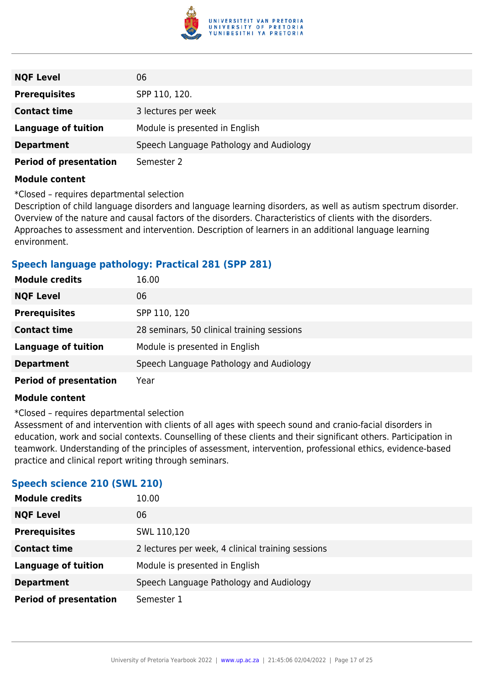

| <b>NQF Level</b>              | 06                                      |
|-------------------------------|-----------------------------------------|
| <b>Prerequisites</b>          | SPP 110, 120.                           |
| <b>Contact time</b>           | 3 lectures per week                     |
| <b>Language of tuition</b>    | Module is presented in English          |
| <b>Department</b>             | Speech Language Pathology and Audiology |
| <b>Period of presentation</b> | Semester 2                              |

\*Closed – requires departmental selection

Description of child language disorders and language learning disorders, as well as autism spectrum disorder. Overview of the nature and causal factors of the disorders. Characteristics of clients with the disorders. Approaches to assessment and intervention. Description of learners in an additional language learning environment.

# **Speech language pathology: Practical 281 (SPP 281)**

| <b>Module credits</b>         | 16.00                                      |
|-------------------------------|--------------------------------------------|
| <b>NQF Level</b>              | 06                                         |
| <b>Prerequisites</b>          | SPP 110, 120                               |
| <b>Contact time</b>           | 28 seminars, 50 clinical training sessions |
| <b>Language of tuition</b>    | Module is presented in English             |
| <b>Department</b>             | Speech Language Pathology and Audiology    |
| <b>Period of presentation</b> | Year                                       |

#### **Module content**

\*Closed – requires departmental selection

Assessment of and intervention with clients of all ages with speech sound and cranio-facial disorders in education, work and social contexts. Counselling of these clients and their significant others. Participation in teamwork. Understanding of the principles of assessment, intervention, professional ethics, evidence-based practice and clinical report writing through seminars.

# **Speech science 210 (SWL 210)**

| <b>Module credits</b>         | 10.00                                             |
|-------------------------------|---------------------------------------------------|
| <b>NQF Level</b>              | 06                                                |
| <b>Prerequisites</b>          | SWL 110,120                                       |
| <b>Contact time</b>           | 2 lectures per week, 4 clinical training sessions |
| <b>Language of tuition</b>    | Module is presented in English                    |
| <b>Department</b>             | Speech Language Pathology and Audiology           |
| <b>Period of presentation</b> | Semester 1                                        |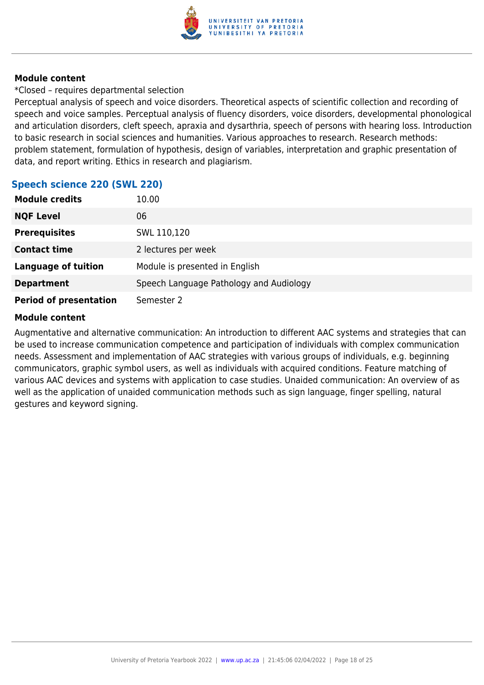

\*Closed – requires departmental selection

Perceptual analysis of speech and voice disorders. Theoretical aspects of scientific collection and recording of speech and voice samples. Perceptual analysis of fluency disorders, voice disorders, developmental phonological and articulation disorders, cleft speech, apraxia and dysarthria, speech of persons with hearing loss. Introduction to basic research in social sciences and humanities. Various approaches to research. Research methods: problem statement, formulation of hypothesis, design of variables, interpretation and graphic presentation of data, and report writing. Ethics in research and plagiarism.

# **Speech science 220 (SWL 220)**

| <b>Module credits</b>         | 10.00                                   |
|-------------------------------|-----------------------------------------|
| <b>NQF Level</b>              | 06                                      |
| <b>Prerequisites</b>          | SWL 110,120                             |
| <b>Contact time</b>           | 2 lectures per week                     |
| <b>Language of tuition</b>    | Module is presented in English          |
| <b>Department</b>             | Speech Language Pathology and Audiology |
| <b>Period of presentation</b> | Semester 2                              |

# **Module content**

Augmentative and alternative communication: An introduction to different AAC systems and strategies that can be used to increase communication competence and participation of individuals with complex communication needs. Assessment and implementation of AAC strategies with various groups of individuals, e.g. beginning communicators, graphic symbol users, as well as individuals with acquired conditions. Feature matching of various AAC devices and systems with application to case studies. Unaided communication: An overview of as well as the application of unaided communication methods such as sign language, finger spelling, natural gestures and keyword signing.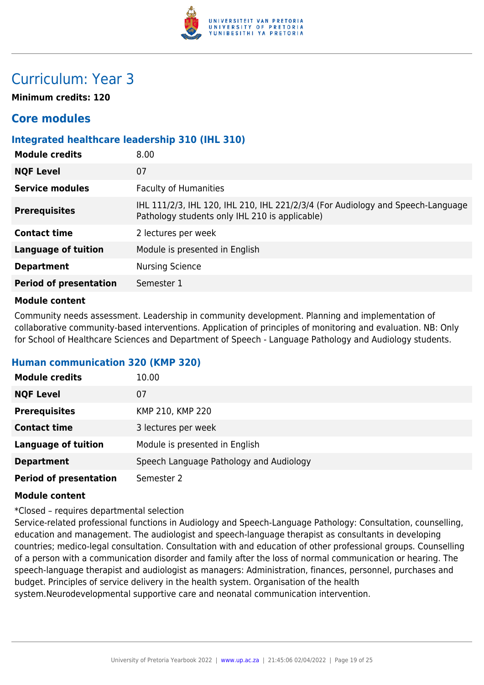

# Curriculum: Year 3

**Minimum credits: 120**

# **Core modules**

# **Integrated healthcare leadership 310 (IHL 310)**

| <b>Module credits</b>         | 8.00                                                                                                                              |  |
|-------------------------------|-----------------------------------------------------------------------------------------------------------------------------------|--|
| <b>NQF Level</b>              | 07                                                                                                                                |  |
| <b>Service modules</b>        | <b>Faculty of Humanities</b>                                                                                                      |  |
| <b>Prerequisites</b>          | IHL 111/2/3, IHL 120, IHL 210, IHL 221/2/3/4 (For Audiology and Speech-Language<br>Pathology students only IHL 210 is applicable) |  |
| <b>Contact time</b>           | 2 lectures per week                                                                                                               |  |
| <b>Language of tuition</b>    | Module is presented in English                                                                                                    |  |
| <b>Department</b>             | <b>Nursing Science</b>                                                                                                            |  |
| <b>Period of presentation</b> | Semester 1                                                                                                                        |  |
|                               |                                                                                                                                   |  |

#### **Module content**

Community needs assessment. Leadership in community development. Planning and implementation of collaborative community-based interventions. Application of principles of monitoring and evaluation. NB: Only for School of Healthcare Sciences and Department of Speech - Language Pathology and Audiology students.

## **Human communication 320 (KMP 320)**

| <b>Module credits</b>         | 10.00                                   |  |
|-------------------------------|-----------------------------------------|--|
| <b>NQF Level</b>              | 07                                      |  |
| <b>Prerequisites</b>          | KMP 210, KMP 220                        |  |
| <b>Contact time</b>           | 3 lectures per week                     |  |
| <b>Language of tuition</b>    | Module is presented in English          |  |
| <b>Department</b>             | Speech Language Pathology and Audiology |  |
| <b>Period of presentation</b> | Semester 2                              |  |

#### **Module content**

\*Closed – requires departmental selection

Service-related professional functions in Audiology and Speech-Language Pathology: Consultation, counselling, education and management. The audiologist and speech-language therapist as consultants in developing countries; medico-legal consultation. Consultation with and education of other professional groups. Counselling of a person with a communication disorder and family after the loss of normal communication or hearing. The speech-language therapist and audiologist as managers: Administration, finances, personnel, purchases and budget. Principles of service delivery in the health system. Organisation of the health system.Neurodevelopmental supportive care and neonatal communication intervention.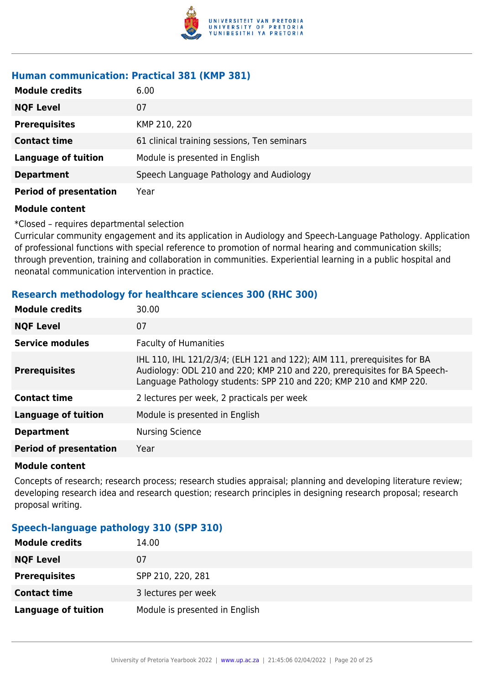

# **Human communication: Practical 381 (KMP 381)**

| <b>Module credits</b>         | 6.00                                        |  |
|-------------------------------|---------------------------------------------|--|
| <b>NQF Level</b>              | 07                                          |  |
| <b>Prerequisites</b>          | KMP 210, 220                                |  |
| <b>Contact time</b>           | 61 clinical training sessions, Ten seminars |  |
| <b>Language of tuition</b>    | Module is presented in English              |  |
| <b>Department</b>             | Speech Language Pathology and Audiology     |  |
| <b>Period of presentation</b> | Year                                        |  |

#### **Module content**

\*Closed – requires departmental selection

Curricular community engagement and its application in Audiology and Speech-Language Pathology. Application of professional functions with special reference to promotion of normal hearing and communication skills; through prevention, training and collaboration in communities. Experiential learning in a public hospital and neonatal communication intervention in practice.

# **Research methodology for healthcare sciences 300 (RHC 300)**

| <b>Module credits</b>         | 30.00                                                                                                                                                                                                                       |  |
|-------------------------------|-----------------------------------------------------------------------------------------------------------------------------------------------------------------------------------------------------------------------------|--|
| <b>NQF Level</b>              | 07                                                                                                                                                                                                                          |  |
| <b>Service modules</b>        | <b>Faculty of Humanities</b>                                                                                                                                                                                                |  |
| <b>Prerequisites</b>          | IHL 110, IHL 121/2/3/4; (ELH 121 and 122); AIM 111, prerequisites for BA<br>Audiology: ODL 210 and 220; KMP 210 and 220, prerequisites for BA Speech-<br>Language Pathology students: SPP 210 and 220; KMP 210 and KMP 220. |  |
| <b>Contact time</b>           | 2 lectures per week, 2 practicals per week                                                                                                                                                                                  |  |
| <b>Language of tuition</b>    | Module is presented in English                                                                                                                                                                                              |  |
| <b>Department</b>             | <b>Nursing Science</b>                                                                                                                                                                                                      |  |
| <b>Period of presentation</b> | Year                                                                                                                                                                                                                        |  |
|                               |                                                                                                                                                                                                                             |  |

#### **Module content**

Concepts of research; research process; research studies appraisal; planning and developing literature review; developing research idea and research question; research principles in designing research proposal; research proposal writing.

# **Speech-language pathology 310 (SPP 310)**

| <b>Module credits</b>      | 14.00                          |
|----------------------------|--------------------------------|
| <b>NQF Level</b>           | 07                             |
| <b>Prerequisites</b>       | SPP 210, 220, 281              |
| <b>Contact time</b>        | 3 lectures per week            |
| <b>Language of tuition</b> | Module is presented in English |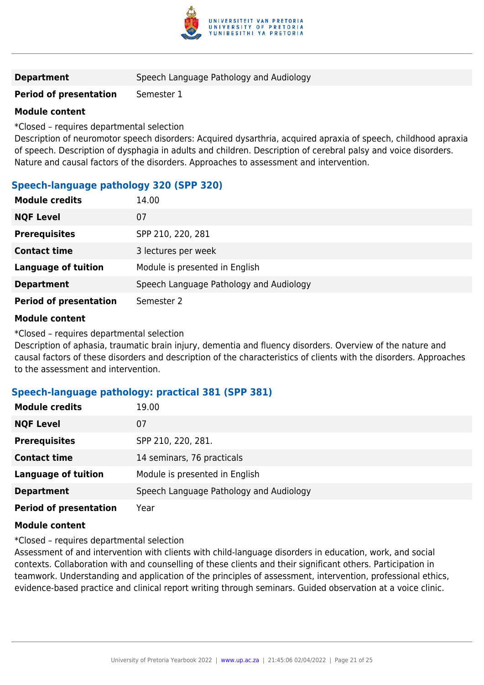

# **Department** Speech Language Pathology and Audiology

# **Period of presentation** Semester 1

#### **Module content**

\*Closed – requires departmental selection

Description of neuromotor speech disorders: Acquired dysarthria, acquired apraxia of speech, childhood apraxia of speech. Description of dysphagia in adults and children. Description of cerebral palsy and voice disorders. Nature and causal factors of the disorders. Approaches to assessment and intervention.

# **Speech-language pathology 320 (SPP 320)**

| <b>Module credits</b>         | 14.00                                   |  |
|-------------------------------|-----------------------------------------|--|
| <b>NQF Level</b>              | 07                                      |  |
| <b>Prerequisites</b>          | SPP 210, 220, 281                       |  |
| <b>Contact time</b>           | 3 lectures per week                     |  |
| <b>Language of tuition</b>    | Module is presented in English          |  |
| <b>Department</b>             | Speech Language Pathology and Audiology |  |
| <b>Period of presentation</b> | Semester 2                              |  |

#### **Module content**

\*Closed – requires departmental selection

Description of aphasia, traumatic brain injury, dementia and fluency disorders. Overview of the nature and causal factors of these disorders and description of the characteristics of clients with the disorders. Approaches to the assessment and intervention.

## **Speech-language pathology: practical 381 (SPP 381)**

| <b>Module credits</b>         | 19.00                                   |  |
|-------------------------------|-----------------------------------------|--|
| <b>NQF Level</b>              | 07                                      |  |
| <b>Prerequisites</b>          | SPP 210, 220, 281.                      |  |
| <b>Contact time</b>           | 14 seminars, 76 practicals              |  |
| <b>Language of tuition</b>    | Module is presented in English          |  |
| <b>Department</b>             | Speech Language Pathology and Audiology |  |
| <b>Period of presentation</b> | Year                                    |  |

#### **Module content**

\*Closed – requires departmental selection

Assessment of and intervention with clients with child-language disorders in education, work, and social contexts. Collaboration with and counselling of these clients and their significant others. Participation in teamwork. Understanding and application of the principles of assessment, intervention, professional ethics, evidence-based practice and clinical report writing through seminars. Guided observation at a voice clinic.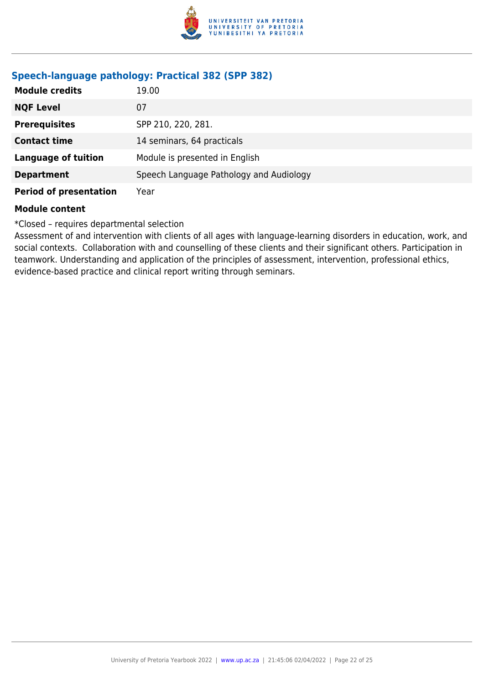

# **Speech-language pathology: Practical 382 (SPP 382)**

| <b>Module credits</b>         | 19.00                                   |  |
|-------------------------------|-----------------------------------------|--|
| <b>NQF Level</b>              | 07                                      |  |
| <b>Prerequisites</b>          | SPP 210, 220, 281.                      |  |
| <b>Contact time</b>           | 14 seminars, 64 practicals              |  |
| <b>Language of tuition</b>    | Module is presented in English          |  |
| <b>Department</b>             | Speech Language Pathology and Audiology |  |
| <b>Period of presentation</b> | Year                                    |  |

#### **Module content**

\*Closed – requires departmental selection

Assessment of and intervention with clients of all ages with language-learning disorders in education, work, and social contexts. Collaboration with and counselling of these clients and their significant others. Participation in teamwork. Understanding and application of the principles of assessment, intervention, professional ethics, evidence-based practice and clinical report writing through seminars.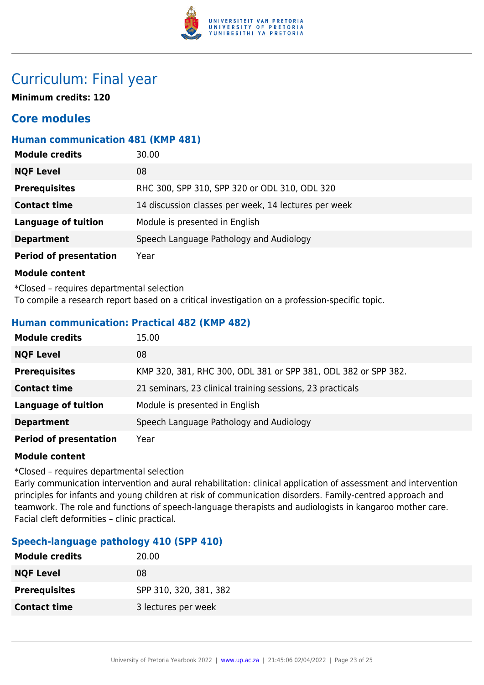

# Curriculum: Final year

**Minimum credits: 120**

# **Core modules**

# **Human communication 481 (KMP 481)**

| <b>Module credits</b>         | 30.00                                                |  |
|-------------------------------|------------------------------------------------------|--|
| <b>NQF Level</b>              | 08                                                   |  |
| <b>Prerequisites</b>          | RHC 300, SPP 310, SPP 320 or ODL 310, ODL 320        |  |
| <b>Contact time</b>           | 14 discussion classes per week, 14 lectures per week |  |
| <b>Language of tuition</b>    | Module is presented in English                       |  |
| <b>Department</b>             | Speech Language Pathology and Audiology              |  |
| <b>Period of presentation</b> | Year                                                 |  |

#### **Module content**

\*Closed – requires departmental selection To compile a research report based on a critical investigation on a profession-specific topic.

# **Human communication: Practical 482 (KMP 482)**

| <b>Module credits</b>         | 15.00                                                          |  |
|-------------------------------|----------------------------------------------------------------|--|
| <b>NQF Level</b>              | 08                                                             |  |
| <b>Prerequisites</b>          | KMP 320, 381, RHC 300, ODL 381 or SPP 381, ODL 382 or SPP 382. |  |
| <b>Contact time</b>           | 21 seminars, 23 clinical training sessions, 23 practicals      |  |
| <b>Language of tuition</b>    | Module is presented in English                                 |  |
| <b>Department</b>             | Speech Language Pathology and Audiology                        |  |
| <b>Period of presentation</b> | Year                                                           |  |

## **Module content**

\*Closed – requires departmental selection

Early communication intervention and aural rehabilitation: clinical application of assessment and intervention principles for infants and young children at risk of communication disorders. Family-centred approach and teamwork. The role and functions of speech-language therapists and audiologists in kangaroo mother care. Facial cleft deformities – clinic practical.

# **Speech-language pathology 410 (SPP 410)**

| <b>Module credits</b> | 20.00                  |
|-----------------------|------------------------|
| <b>NQF Level</b>      | 08                     |
| <b>Prerequisites</b>  | SPP 310, 320, 381, 382 |
| <b>Contact time</b>   | 3 lectures per week    |
|                       |                        |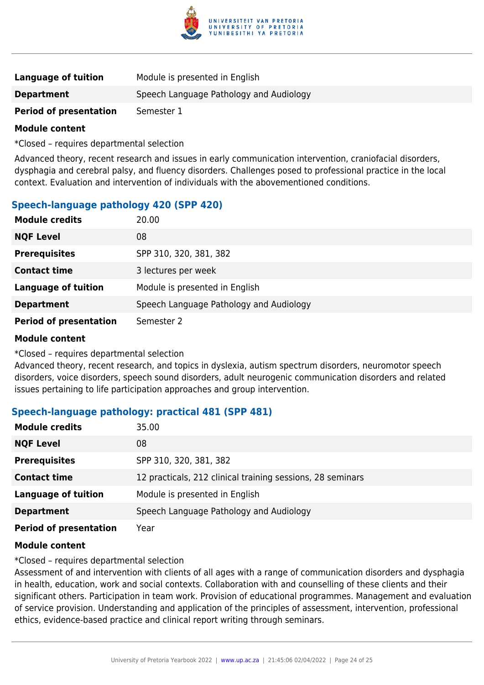

| Language of tuition           | Module is presented in English          |
|-------------------------------|-----------------------------------------|
| <b>Department</b>             | Speech Language Pathology and Audiology |
| <b>Period of presentation</b> | Semester 1                              |

\*Closed – requires departmental selection

Advanced theory, recent research and issues in early communication intervention, craniofacial disorders, dysphagia and cerebral palsy, and fluency disorders. Challenges posed to professional practice in the local context. Evaluation and intervention of individuals with the abovementioned conditions.

# **Speech-language pathology 420 (SPP 420)**

| <b>Module credits</b>         | 20.00                                   |
|-------------------------------|-----------------------------------------|
| <b>NQF Level</b>              | 08                                      |
| <b>Prerequisites</b>          | SPP 310, 320, 381, 382                  |
| <b>Contact time</b>           | 3 lectures per week                     |
| <b>Language of tuition</b>    | Module is presented in English          |
| <b>Department</b>             | Speech Language Pathology and Audiology |
| <b>Period of presentation</b> | Semester 2                              |

#### **Module content**

\*Closed – requires departmental selection

Advanced theory, recent research, and topics in dyslexia, autism spectrum disorders, neuromotor speech disorders, voice disorders, speech sound disorders, adult neurogenic communication disorders and related issues pertaining to life participation approaches and group intervention.

# **Speech-language pathology: practical 481 (SPP 481)**

| <b>Module credits</b>         | 35.00                                                      |
|-------------------------------|------------------------------------------------------------|
| <b>NQF Level</b>              | 08                                                         |
| <b>Prerequisites</b>          | SPP 310, 320, 381, 382                                     |
| <b>Contact time</b>           | 12 practicals, 212 clinical training sessions, 28 seminars |
| <b>Language of tuition</b>    | Module is presented in English                             |
| <b>Department</b>             | Speech Language Pathology and Audiology                    |
| <b>Period of presentation</b> | Year                                                       |

## **Module content**

\*Closed – requires departmental selection

Assessment of and intervention with clients of all ages with a range of communication disorders and dysphagia in health, education, work and social contexts. Collaboration with and counselling of these clients and their significant others. Participation in team work. Provision of educational programmes. Management and evaluation of service provision. Understanding and application of the principles of assessment, intervention, professional ethics, evidence-based practice and clinical report writing through seminars.